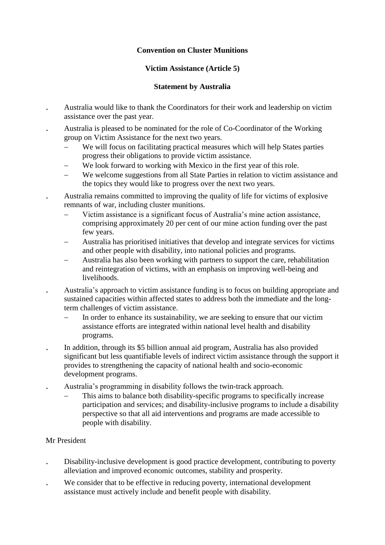## **Convention on Cluster Munitions**

# **Victim Assistance (Article 5)**

## **Statement by Australia**

- Australia would like to thank the Coordinators for their work and leadership on victim assistance over the past year.
- Australia is pleased to be nominated for the role of Co-Coordinator of the Working group on Victim Assistance for the next two years.
	- We will focus on facilitating practical measures which will help States parties progress their obligations to provide victim assistance.
	- We look forward to working with Mexico in the first year of this role.
	- We welcome suggestions from all State Parties in relation to victim assistance and the topics they would like to progress over the next two years.

 Australia remains committed to improving the quality of life for victims of explosive remnants of war, including cluster munitions.

- Victim assistance is a significant focus of Australia's mine action assistance, comprising approximately 20 per cent of our mine action funding over the past few years.
- Australia has prioritised initiatives that develop and integrate services for victims and other people with disability, into national policies and programs.
- Australia has also been working with partners to support the care, rehabilitation and reintegration of victims, with an emphasis on improving well-being and livelihoods.
- Australia's approach to victim assistance funding is to focus on building appropriate and sustained capacities within affected states to address both the immediate and the longterm challenges of victim assistance.
	- In order to enhance its sustainability, we are seeking to ensure that our victim assistance efforts are integrated within national level health and disability programs.
- In addition, through its \$5 billion annual aid program, Australia has also provided significant but less quantifiable levels of indirect victim assistance through the support it provides to strengthening the capacity of national health and socio-economic development programs.
- Australia's programming in disability follows the twin-track approach.
	- This aims to balance both disability-specific programs to specifically increase participation and services; and disability-inclusive programs to include a disability perspective so that all aid interventions and programs are made accessible to people with disability.

### Mr President

- Disability-inclusive development is good practice development, contributing to poverty alleviation and improved economic outcomes, stability and prosperity.
- We consider that to be effective in reducing poverty, international development assistance must actively include and benefit people with disability.